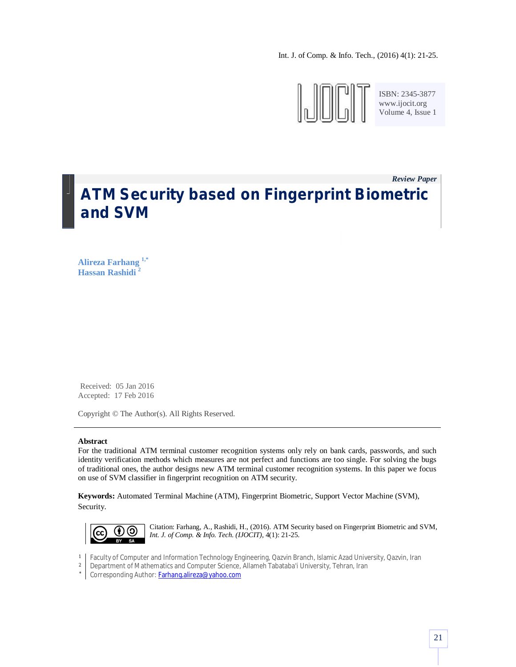Int. J. of Comp. & Info. Tech., (2016) 4(1): 21-25.



ISBN: 2345-3877 www.ijocit.org Volume 4, Issue 1

*Review Paper \_* **ATM Security based on Fingerprint Biometric and SVM**

**Alireza Farhang 1,\* Hassan Rashidi <sup>2</sup>**

Received: 05 Jan 2016 Accepted: 17 Feb 2016

Copyright © The Author(s). All Rights Reserved.

### **Abstract**

For the traditional ATM terminal customer recognition systems only rely on bank cards, passwords, and such identity verification methods which measures are not perfect and functions are too single. For solving the bugs of traditional ones, the author designs new ATM terminal customer recognition systems. In this paper we focus on use of SVM classifier in fingerprint recognition on ATM security.

**Keywords:** Automated Terminal Machine (ATM), Fingerprint Biometric, Support Vector Machine (SVM), Security.



Citation: Farhang, A., Rashidi, H., (2016). ATM Security based on Fingerprint Biometric and SVM, *Int. J. of Comp. & Info. Tech. (IJOCIT)*, 4(1): 21-25.

- 1 Faculty of Computer and Information Technology Engineering, Qazvin Branch, Islamic Azad University, Qazvin, Iran
- 2 Department of Mathematics and Computer Science, Allameh Tabataba'i University, Tehran, Iran
- \* Corresponding Author: Farhang.alireza@yahoo.com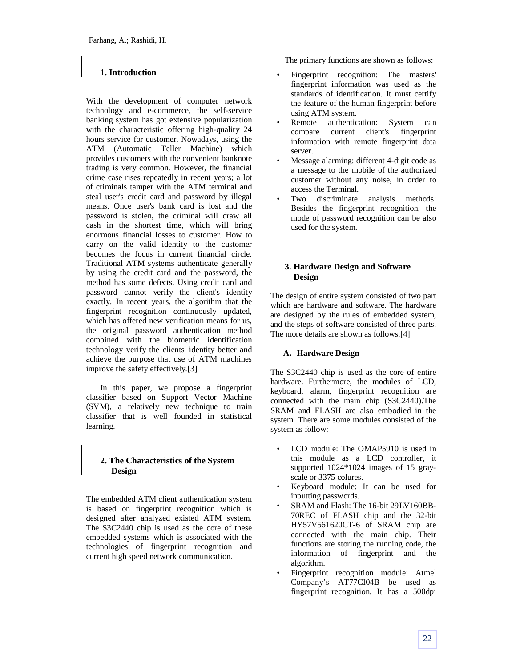# **1. Introduction**

With the development of computer network technology and e-commerce, the self-service banking system has got extensive popularization with the characteristic offering high-quality 24 hours service for customer. Nowadays, using the ATM (Automatic Teller Machine) which provides customers with the convenient banknote trading is very common. However, the financial crime case rises repeatedly in recent years; a lot of criminals tamper with the ATM terminal and steal user's credit card and password by illegal means. Once user's bank card is lost and the password is stolen, the criminal will draw all cash in the shortest time, which will bring enormous financial losses to customer. How to carry on the valid identity to the customer becomes the focus in current financial circle. Traditional ATM systems authenticate generally by using the credit card and the password, the method has some defects. Using credit card and password cannot verify the client's identity exactly. In recent years, the algorithm that the fingerprint recognition continuously updated, which has offered new verification means for us, the original password authentication method combined with the biometric identification technology verify the clients' identity better and achieve the purpose that use of ATM machines improve the safety effectively.[3]

In this paper, we propose a fingerprint classifier based on Support Vector Machine (SVM), a relatively new technique to train classifier that is well founded in statistical learning.

## **2. The Characteristics of the System Design**

The embedded ATM client authentication system is based on fingerprint recognition which is designed after analyzed existed ATM system. The S3C2440 chip is used as the core of these embedded systems which is associated with the technologies of fingerprint recognition and current high speed network communication.

The primary functions are shown as follows:

- Fingerprint recognition: The masters' fingerprint information was used as the standards of identification. It must certify the feature of the human fingerprint before using ATM system.
- Remote authentication: System can compare current client's fingerprint information with remote fingerprint data server.
- Message alarming: different 4-digit code as a message to the mobile of the authorized customer without any noise, in order to access the Terminal.
- Two discriminate analysis methods: Besides the fingerprint recognition, the mode of password recognition can be also used for the system.

## **3. Hardware Design and Software Design**

The design of entire system consisted of two part which are hardware and software. The hardware are designed by the rules of embedded system, and the steps of software consisted of three parts. The more details are shown as follows.[4]

## **A. Hardware Design**

The S3C2440 chip is used as the core of entire hardware. Furthermore, the modules of LCD, keyboard, alarm, fingerprint recognition are connected with the main chip (S3C2440).The SRAM and FLASH are also embodied in the system. There are some modules consisted of the system as follow:

- LCD module: The OMAP5910 is used in this module as a LCD controller, it supported 1024\*1024 images of 15 grayscale or 3375 colures.
- Keyboard module: It can be used for inputting passwords.
- SRAM and Flash: The 16-bit 29LV160BB-70REC of FLASH chip and the 32-bit HY57V561620CT-6 of SRAM chip are connected with the main chip. Their functions are storing the running code, the information of fingerprint and the algorithm.
- Fingerprint recognition module: Atmel Company's AT77CI04B be used as fingerprint recognition. It has a 500dpi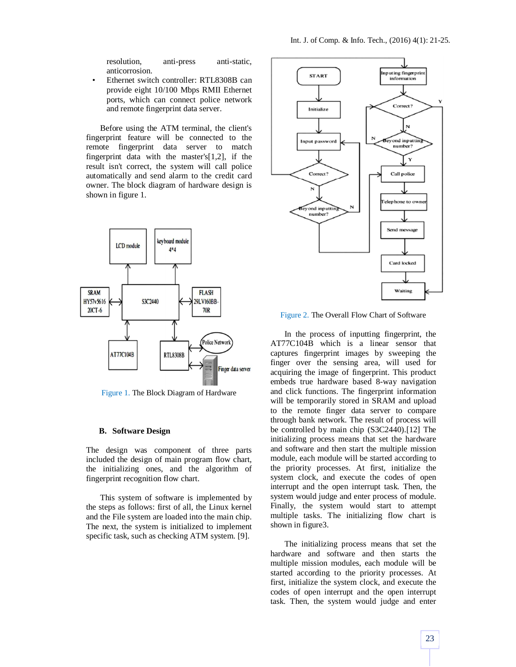resolution, anti-press anti-static, anticorrosion.

• Ethernet switch controller: RTL8308B can provide eight 10/100 Mbps RMII Ethernet ports, which can connect police network and remote fingerprint data server.

Before using the ATM terminal, the client's fingerprint feature will be connected to the remote fingerprint data server to match fingerprint data with the master's[1,2], if the result isn't correct, the system will call police automatically and send alarm to the credit card owner. The block diagram of hardware design is shown in figure 1.



Figure 1. The Block Diagram of Hardware

### **B. Software Design**

The design was component of three parts included the design of main program flow chart, the initializing ones, and the algorithm of fingerprint recognition flow chart.

This system of software is implemented by the steps as follows: first of all, the Linux kernel and the File system are loaded into the main chip. The next, the system is initialized to implement specific task, such as checking ATM system. [9].



Figure 2. The Overall Flow Chart of Software

In the process of inputting fingerprint, the AT77C104B which is a linear sensor that captures fingerprint images by sweeping the finger over the sensing area, will used for acquiring the image of fingerprint. This product embeds true hardware based 8-way navigation and click functions. The fingerprint information will be temporarily stored in SRAM and upload to the remote finger data server to compare through bank network. The result of process will be controlled by main chip (S3C2440).[12] The initializing process means that set the hardware and software and then start the multiple mission module, each module will be started according to the priority processes. At first, initialize the system clock, and execute the codes of open interrupt and the open interrupt task. Then, the system would judge and enter process of module. Finally, the system would start to attempt multiple tasks. The initializing flow chart is shown in figure3.

The initializing process means that set the hardware and software and then starts the multiple mission modules, each module will be started according to the priority processes. At first, initialize the system clock, and execute the codes of open interrupt and the open interrupt task. Then, the system would judge and enter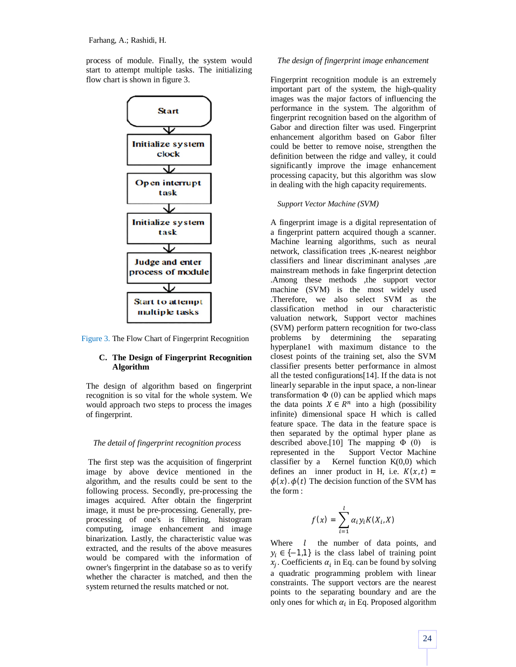process of module. Finally, the system would start to attempt multiple tasks. The initializing flow chart is shown in figure 3.



Figure 3. The Flow Chart of Fingerprint Recognition

## **C. The Design of Fingerprint Recognition Algorithm**

The design of algorithm based on fingerprint recognition is so vital for the whole system. We would approach two steps to process the images of fingerprint.

### *The detail of fingerprint recognition process*

The first step was the acquisition of fingerprint image by above device mentioned in the algorithm, and the results could be sent to the following process. Secondly, pre-processing the images acquired. After obtain the fingerprint image, it must be pre-processing. Generally, preprocessing of one's is filtering, histogram computing, image enhancement and image binarization. Lastly, the characteristic value was extracted, and the results of the above measures would be compared with the information of owner's fingerprint in the database so as to verify whether the character is matched, and then the system returned the results matched or not.

## *The design of fingerprint image enhancement*

Fingerprint recognition module is an extremely important part of the system, the high-quality images was the major factors of influencing the performance in the system. The algorithm of fingerprint recognition based on the algorithm of Gabor and direction filter was used. Fingerprint enhancement algorithm based on Gabor filter could be better to remove noise, strengthen the definition between the ridge and valley, it could significantly improve the image enhancement processing capacity, but this algorithm was slow in dealing with the high capacity requirements.

#### *Support Vector Machine (SVM)*

A fingerprint image is a digital representation of a fingerprint pattern acquired though a scanner. Machine learning algorithms, such as neural network, classification trees ,K-nearest neighbor classifiers and linear discriminant analyses ,are mainstream methods in fake fingerprint detection .Among these methods ,the support vector machine (SVM) is the most widely used .Therefore, we also select SVM as the classification method in our characteristic valuation network, Support vector machines (SVM) perform pattern recognition for two-class problems by determining the separating hyperplane1 with maximum distance to the closest points of the training set, also the SVM classifier presents better performance in almost all the tested configurations[14]. If the data is not linearly separable in the input space, a non-linear transformation  $\Phi$  (0) can be applied which maps the data points  $X \in \mathbb{R}^n$  into a high (possibility infinite) dimensional space H which is called feature space. The data in the feature space is then separated by the optimal hyper plane as described above.[10] The mapping  $\Phi$  (0) is represented in the Support Vector Machine classifier by a Kernel function  $K(0,0)$  which defines an inner product in H, i.e.  $K(x,t)$  =  $\phi(x)$ .  $\phi(t)$  The decision function of the SVM has the form :

$$
f(x) = \sum_{i=1}^{l} \alpha_i y_i K(X_i, X)
$$

Where  $l$  the number of data points, and  $y_i \in \{-1,1\}$  is the class label of training point  $x_j$ . Coefficients  $\alpha_i$  in Eq. can be found by solving a quadratic programming problem with linear constraints. The support vectors are the nearest points to the separating boundary and are the only ones for which  $\alpha_i$  in Eq. Proposed algorithm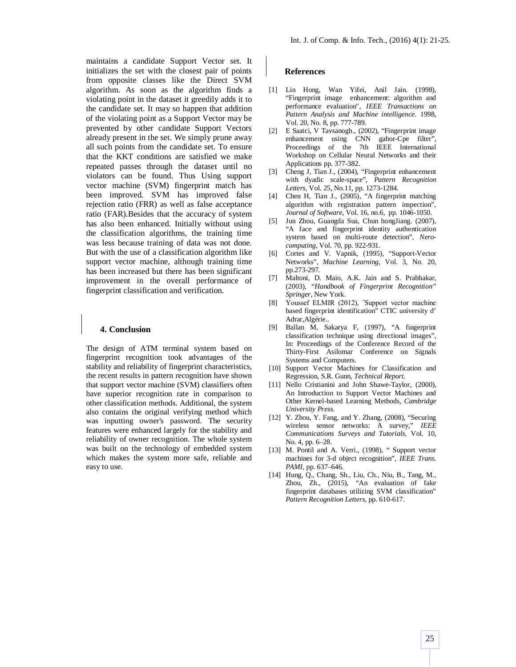maintains a candidate Support Vector set. It initializes the set with the closest pair of points from opposite classes like the Direct SVM algorithm. As soon as the algorithm finds a violating point in the dataset it greedily adds it to the candidate set. It may so happen that addition of the violating point as a Support Vector may be prevented by other candidate Support Vectors already present in the set. We simply prune away all such points from the candidate set. To ensure that the KKT conditions are satisfied we make repeated passes through the dataset until no violators can be found. Thus Using support vector machine (SVM) fingerprint match has been improved. SVM has improved false rejection ratio (FRR) as well as false acceptance ratio (FAR).Besides that the accuracy of system has also been enhanced. Initially without using the classification algorithms, the training time was less because training of data was not done. But with the use of a classification algorithm like support vector machine, although training time has been increased but there has been significant improvement in the overall performance of fingerprint classification and verification.

### **4. Conclusion**

The design of ATM terminal system based on fingerprint recognition took advantages of the stability and reliability of fingerprint characteristics, the recent results in pattern recognition have shown that support vector machine (SVM) classifiers often have superior recognition rate in comparison to other classification methods. Additional, the system also contains the original verifying method which was inputting owner's password. The security features were enhanced largely for the stability and reliability of owner recognition. The whole system was built on the technology of embedded system which makes the system more safe, reliable and easy to use.

### **References**

- [1] Lin Hong, Wan Yifei, Anil Jain. (1998), "Fingerprint image enhancement: algorithm and performance evaluation", *IEEE Transactions on Pattern Analysis and Machine intelligence*. 1998, Vol. 20, No. 8, pp. 777-789.
- [2] E Saatci, V Tavsanogh., (2002), "Fingerprint image enhancement using CNN gabor-Cpe filter", Proceedings of the 7th IEEE International Workshop on Cellular Neural Networks and their Applications pp. 377-382.
- [3] Cheng J, Tian J., (2004), "Fingerprint enhancement with dyadic scale-space", *Pattern Recognition Letters*, Vol. 25, No.11, pp. 1273-1284.
- [4] Chen H, Tian J., (2005), "A fingerprint matching algorithm with registration pattern inspection", *Journal of Software*, Vol. 16, no.6, pp. 1046-1050.
- [5] Jun Zhou, Guangda Sua, Chun hongJiang. (2007), "A face and fingerprint identity authentication system based on multi-route detection", *Nerocomputing*, Vol. 70, pp. 922-931.
- [6] Cortes and V. Vapnik, (1995), "Support-Vector Networks", *Machine Learning*, Vol. 3, No. 20, pp.273-297.
- [7] Maltoni, D. Maio, A.K. Jain and S. Prabhakar, (2003), "*Handbook of Fingerprint Recognition" Springer*, New York.
- [8] Youssef ELMIR (2012), "Support vector machine based fingerprint identification" CTIC university d' Adrar,Algérie..
- [9] Ballan M, Sakarya F, (1997), "A fingerprint classification technique using directional images", In: Proceedings of the Conference Record of the Thirty-First Asilomar Conference on Signals Systems and Computers.
- [10] Support Vector Machines for Classification and Regression, S.R. Gunn, *Technical Report*.
- [11] Nello Cristianini and John Shawe-Taylor, (2000), An Introduction to Support Vector Machines and Other Kernel-based Learning Methods, *Cambridge University Press*.
- [12] Y. Zhou, Y. Fang, and Y. Zhang, (2008), "Securing wireless sensor networks: A survey," *IEEE Communications Surveys and Tutorials*, Vol. 10, No. 4, pp. 6–28.
- [13] M. Pontil and A. Verri., (1998), " Support vector machines for 3-d object recognition", *IEEE Trans. PAMI*, pp. 637–646.
- [14] Hung, Q., Chang, Sh., Liu, Ch., Niu, B., Tang, M., Zhou, Zh., (2015), "An evaluation of fake fingerprint databases utilizing SVM classification" *Pattern Recognition Letters*, pp. 610-617.